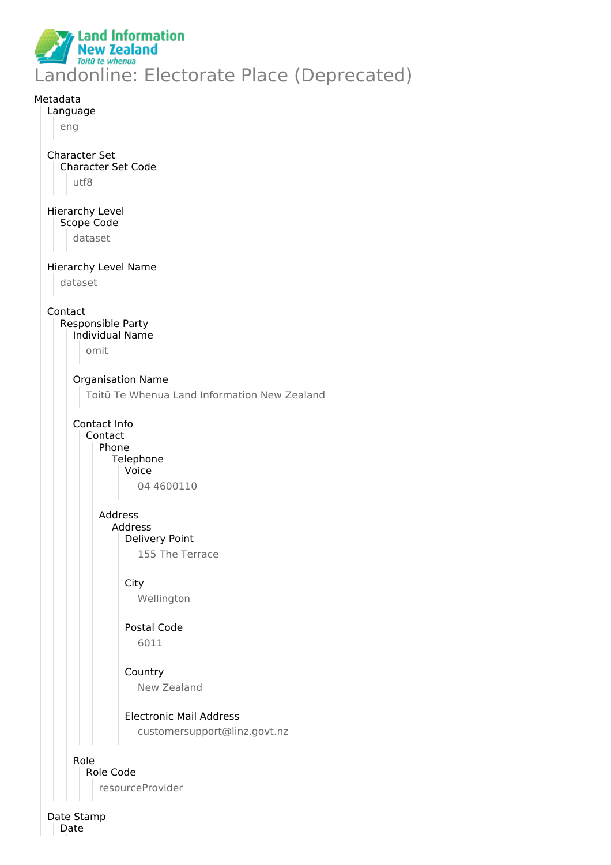

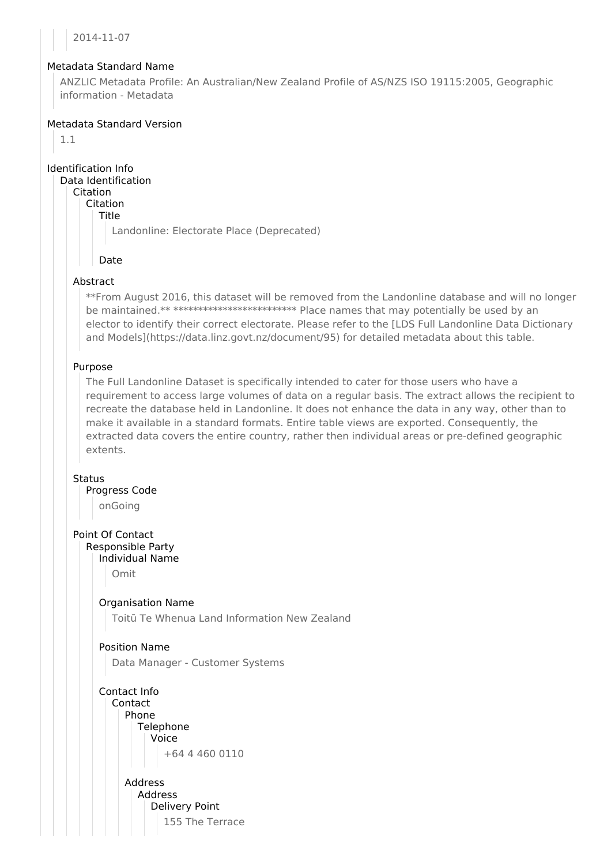2014-11-07

### Metadata Standard Name

ANZLIC Metadata Profile: An Australian/New Zealand Profile of AS/NZS ISO 19115:2005, Geographic information - Metadata

## Metadata Standard Version

1.1

Identification Info

Data Identification Citation

Citation

Title

Landonline: Electorate Place (Deprecated)

## Date

## Abstract

\*\*From August 2016, this dataset will be removed from the Landonline database and will no longer be maintained.\*\* \*\*\*\*\*\*\*\*\*\*\*\*\*\*\*\*\*\*\*\*\*\*\*\*\*\*\*\* Place names that may potentially be used by an elector to identify their correct electorate. Please refer to the [LDS Full Landonline Data Dictionary and Models](https://data.linz.govt.nz/document/95) for detailed metadata about this table.

## Purpose

The Full Landonline Dataset is specifically intended to cater for those users who have a requirement to access large volumes of data on a regular basis. The extract allows the recipient to recreate the database held in Landonline. It does not enhance the data in any way, other than to make it available in a standard formats. Entire table views are exported. Consequently, the extracted data covers the entire country, rather then individual areas or pre-defined geographic extents.

### **Status**

Progress Code

onGoing

Point Of Contact Responsible Party

Individual Name

Omit

Organisation Name

Toitū Te Whenua Land Information New Zealand

# Position Name

Data Manager - Customer Systems

Contact Info Contact Phone **Telephone** Voice +64 4 460 0110

> Address Address Delivery Point 155 The Terrace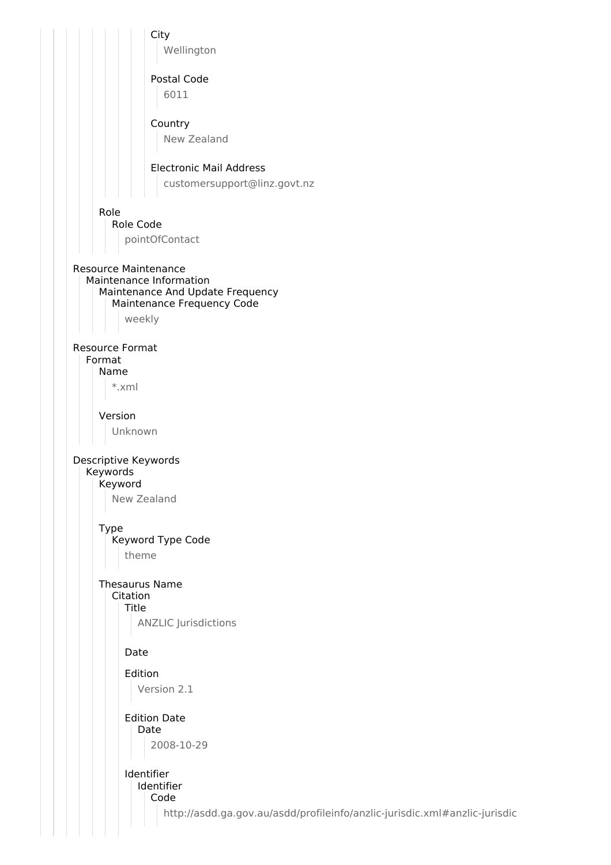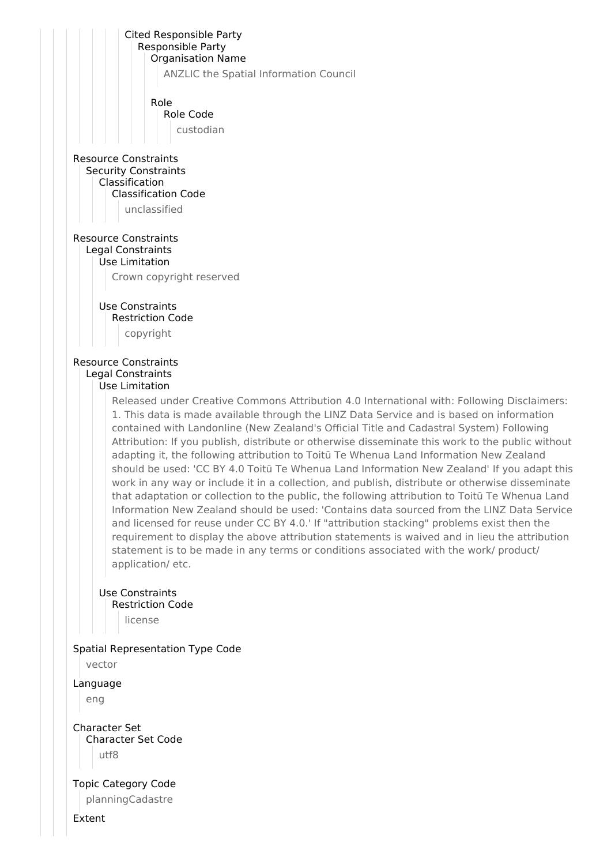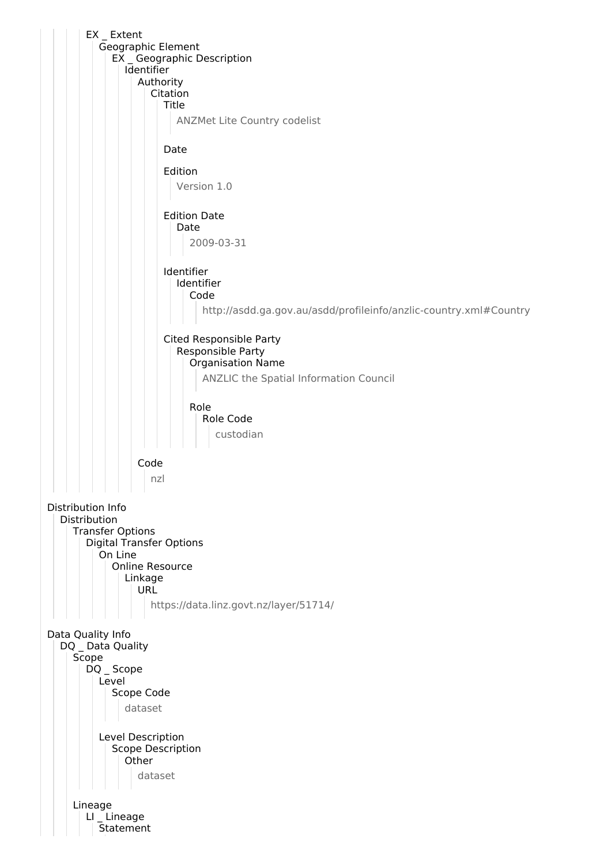